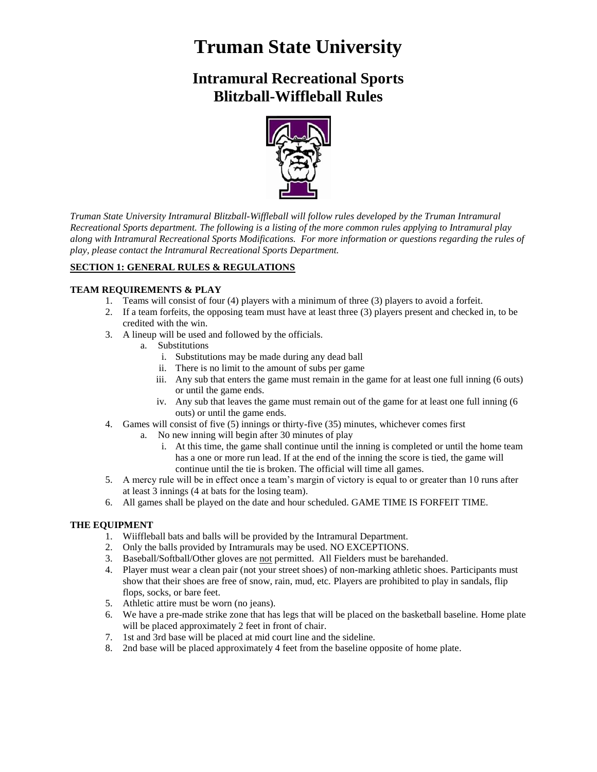# **Truman State University**

# **Intramural Recreational Sports Blitzball-Wiffleball Rules**



*Truman State University Intramural Blitzball-Wiffleball will follow rules developed by the Truman Intramural Recreational Sports department. The following is a listing of the more common rules applying to Intramural play along with Intramural Recreational Sports Modifications. For more information or questions regarding the rules of play, please contact the Intramural Recreational Sports Department.* 

# **SECTION 1: GENERAL RULES & REGULATIONS**

# **TEAM REQUIREMENTS & PLAY**

- 1. Teams will consist of four (4) players with a minimum of three (3) players to avoid a forfeit.
- 2. If a team forfeits, the opposing team must have at least three (3) players present and checked in, to be credited with the win.
- 3. A lineup will be used and followed by the officials.
	- a. Substitutions
		- i. Substitutions may be made during any dead ball
		- ii. There is no limit to the amount of subs per game
		- iii. Any sub that enters the game must remain in the game for at least one full inning (6 outs) or until the game ends.
		- iv. Any sub that leaves the game must remain out of the game for at least one full inning (6 outs) or until the game ends.
- 4. Games will consist of five (5) innings or thirty-five (35) minutes, whichever comes first
	- a. No new inning will begin after 30 minutes of play
		- i. At this time, the game shall continue until the inning is completed or until the home team has a one or more run lead. If at the end of the inning the score is tied, the game will continue until the tie is broken. The official will time all games.
- 5. A mercy rule will be in effect once a team's margin of victory is equal to or greater than 10 runs after at least 3 innings (4 at bats for the losing team).
- 6. All games shall be played on the date and hour scheduled. GAME TIME IS FORFEIT TIME.

# **THE EQUIPMENT**

- 1. Wiiffleball bats and balls will be provided by the Intramural Department.
- 2. Only the balls provided by Intramurals may be used. NO EXCEPTIONS.
- 3. Baseball/Softball/Other gloves are not permitted. All Fielders must be barehanded.
- 4. Player must wear a clean pair (not your street shoes) of non-marking athletic shoes. Participants must show that their shoes are free of snow, rain, mud, etc. Players are prohibited to play in sandals, flip flops, socks, or bare feet.
- 5. Athletic attire must be worn (no jeans).
- 6. We have a pre-made strike zone that has legs that will be placed on the basketball baseline. Home plate will be placed approximately 2 feet in front of chair.
- 7. 1st and 3rd base will be placed at mid court line and the sideline.
- 8. 2nd base will be placed approximately 4 feet from the baseline opposite of home plate.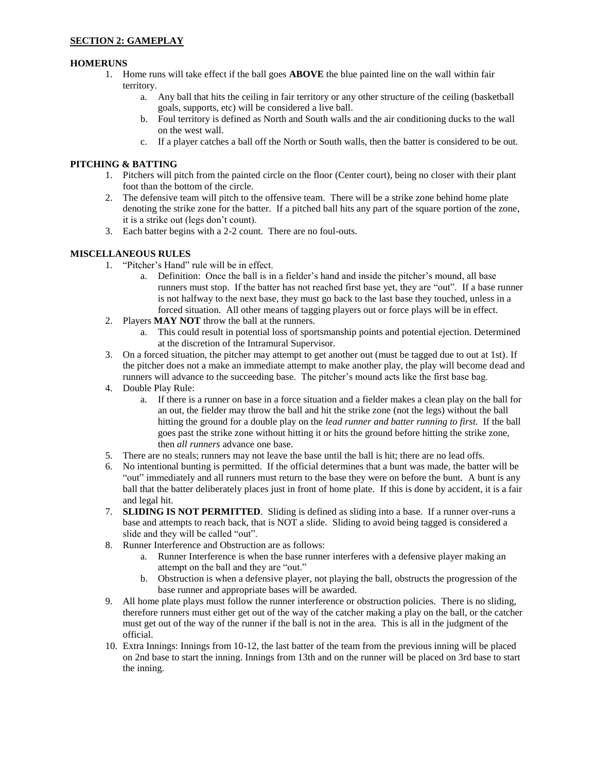### **HOMERUNS**

- 1. Home runs will take effect if the ball goes **ABOVE** the blue painted line on the wall within fair territory.
	- a. Any ball that hits the ceiling in fair territory or any other structure of the ceiling (basketball goals, supports, etc) will be considered a live ball.
	- b. Foul territory is defined as North and South walls and the air conditioning ducks to the wall on the west wall.
	- c. If a player catches a ball off the North or South walls, then the batter is considered to be out.

#### **PITCHING & BATTING**

- 1. Pitchers will pitch from the painted circle on the floor (Center court), being no closer with their plant foot than the bottom of the circle.
- 2. The defensive team will pitch to the offensive team. There will be a strike zone behind home plate denoting the strike zone for the batter. If a pitched ball hits any part of the square portion of the zone, it is a strike out (legs don't count).
- 3. Each batter begins with a 2-2 count. There are no foul-outs.

### **MISCELLANEOUS RULES**

- 1. "Pitcher's Hand" rule will be in effect.
	- a. Definition: Once the ball is in a fielder's hand and inside the pitcher's mound, all base runners must stop. If the batter has not reached first base yet, they are "out". If a base runner is not halfway to the next base, they must go back to the last base they touched, unless in a forced situation. All other means of tagging players out or force plays will be in effect.
- 2. Players **MAY NOT** throw the ball at the runners.
	- a. This could result in potential loss of sportsmanship points and potential ejection. Determined at the discretion of the Intramural Supervisor.
- 3. On a forced situation, the pitcher may attempt to get another out (must be tagged due to out at 1st). If the pitcher does not a make an immediate attempt to make another play, the play will become dead and runners will advance to the succeeding base. The pitcher's mound acts like the first base bag.
- 4. Double Play Rule:
	- a. If there is a runner on base in a force situation and a fielder makes a clean play on the ball for an out, the fielder may throw the ball and hit the strike zone (not the legs) without the ball hitting the ground for a double play on the *lead runner and batter running to first.* If the ball goes past the strike zone without hitting it or hits the ground before hitting the strike zone, then *all runners* advance one base.
- 5. There are no steals; runners may not leave the base until the ball is hit; there are no lead offs.
- 6. No intentional bunting is permitted. If the official determines that a bunt was made, the batter will be "out" immediately and all runners must return to the base they were on before the bunt. A bunt is any ball that the batter deliberately places just in front of home plate. If this is done by accident, it is a fair and legal hit.
- 7. **SLIDING IS NOT PERMITTED**. Sliding is defined as sliding into a base. If a runner over-runs a base and attempts to reach back, that is NOT a slide. Sliding to avoid being tagged is considered a slide and they will be called "out".
- 8. Runner Interference and Obstruction are as follows:
	- a. Runner Interference is when the base runner interferes with a defensive player making an attempt on the ball and they are "out."
	- b. Obstruction is when a defensive player, not playing the ball, obstructs the progression of the base runner and appropriate bases will be awarded.
- 9. All home plate plays must follow the runner interference or obstruction policies. There is no sliding, therefore runners must either get out of the way of the catcher making a play on the ball, or the catcher must get out of the way of the runner if the ball is not in the area. This is all in the judgment of the official.
- 10. Extra Innings: Innings from 10-12, the last batter of the team from the previous inning will be placed on 2nd base to start the inning. Innings from 13th and on the runner will be placed on 3rd base to start the inning.